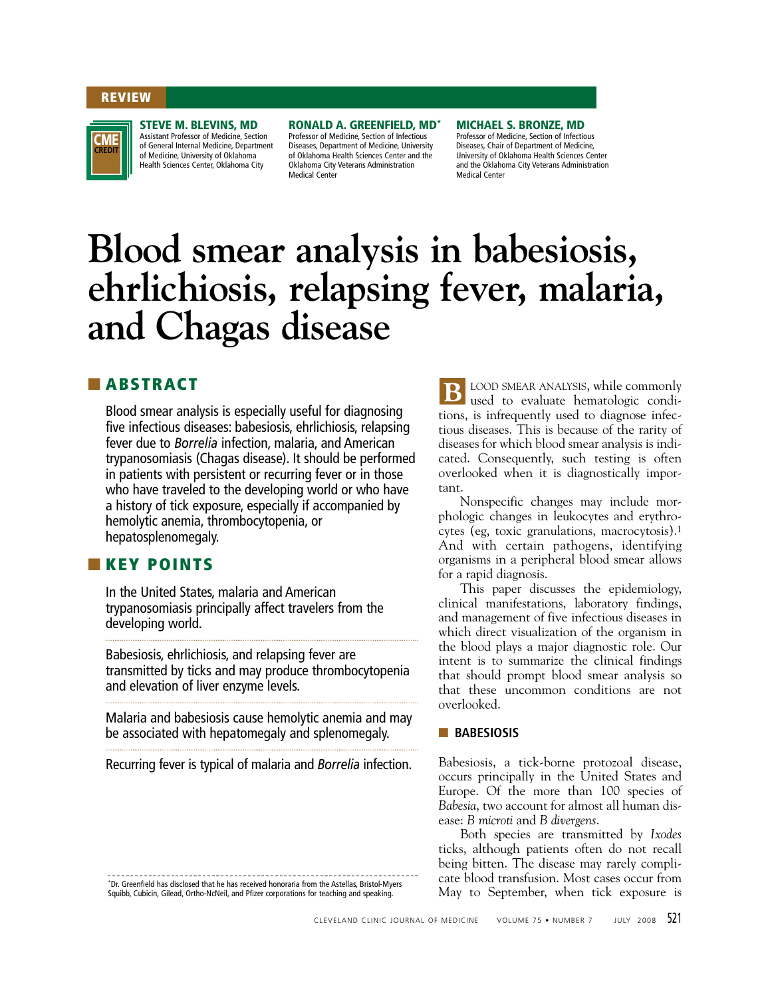#### **REVIEW**

**CREDIT CME**

#### **STEVE M. BLEVINS, MD**

Assistant Professor of Medicine, Section of General Internal Medicine, Department of Medicine, University of Oklahoma Health Sciences Center, Oklahoma City

# **RONALD A. GREENFIELD, MD\***

Professor of Medicine, Section of Infectious Diseases, Department of Medicine, University of Oklahoma Health Sciences Center and the Oklahoma City Veterans Administration Medical Center

**MICHAEL S. BRONZE, MD** Professor of Medicine, Section of Infectious Diseases, Chair of Department of Medicine, University of Oklahoma Health Sciences Center and the Oklahoma City Veterans Administration Medical Center

# **Blood smear analysis in babesiosis, ehrlichiosis, relapsing fever, malaria, and Chagas disease**

# ■ **ABSTRACT**

Blood smear analysis is especially useful for diagnosing five infectious diseases: babesiosis, ehrlichiosis, relapsing fever due to *Borrelia* infection, malaria, and American trypanosomiasis (Chagas disease). It should be performed in patients with persistent or recurring fever or in those who have traveled to the developing world or who have a history of tick exposure, especially if accompanied by hemolytic anemia, thrombocytopenia, or hepatosplenomegaly.

## ■ **KEY POINTS**

In the United States, malaria and American trypanosomiasis principally affect travelers from the developing world.

Babesiosis, ehrlichiosis, and relapsing fever are transmitted by ticks and may produce thrombocytopenia and elevation of liver enzyme levels.

Malaria and babesiosis cause hemolytic anemia and may be associated with hepatomegaly and splenomegaly.

Recurring fever is typical of malaria and *Borrelia* infection.

\*Dr. Greenfield has disclosed that he has received honoraria from the Astellas, Bristol-Myers Squibb, Cubicin, Gilead, Ortho-NcNeil, and Pfizer corporations for teaching and speaking.

LOOD SMEAR ANALYSIS, while commonly used to evaluate hematologic conditions, is infrequently used to diagnose infectious diseases. This is because of the rarity of diseases for which blood smear analysis is indicated. Consequently, such testing is often overlooked when it is diagnostically important. **B**

Nonspecific changes may include morphologic changes in leukocytes and erythrocytes (eg, toxic granulations, macrocytosis).1 And with certain pathogens, identifying organisms in a peripheral blood smear allows for a rapid diagnosis.

This paper discusses the epidemiology, clinical manifestations, laboratory findings, and management of five infectious diseases in which direct visualization of the organism in the blood plays a major diagnostic role. Our intent is to summarize the clinical findings that should prompt blood smear analysis so that these uncommon conditions are not overlooked.

#### ■ **BABESIOSIS**

Babesiosis, a tick-borne protozoal disease, occurs principally in the United States and Europe. Of the more than 100 species of *Babesia*, two account for almost all human disease: *B microti* and *B divergens*.

Both species are transmitted by *Ixodes* ticks, although patients often do not recall being bitten. The disease may rarely complicate blood transfusion. Most cases occur from May to September, when tick exposure is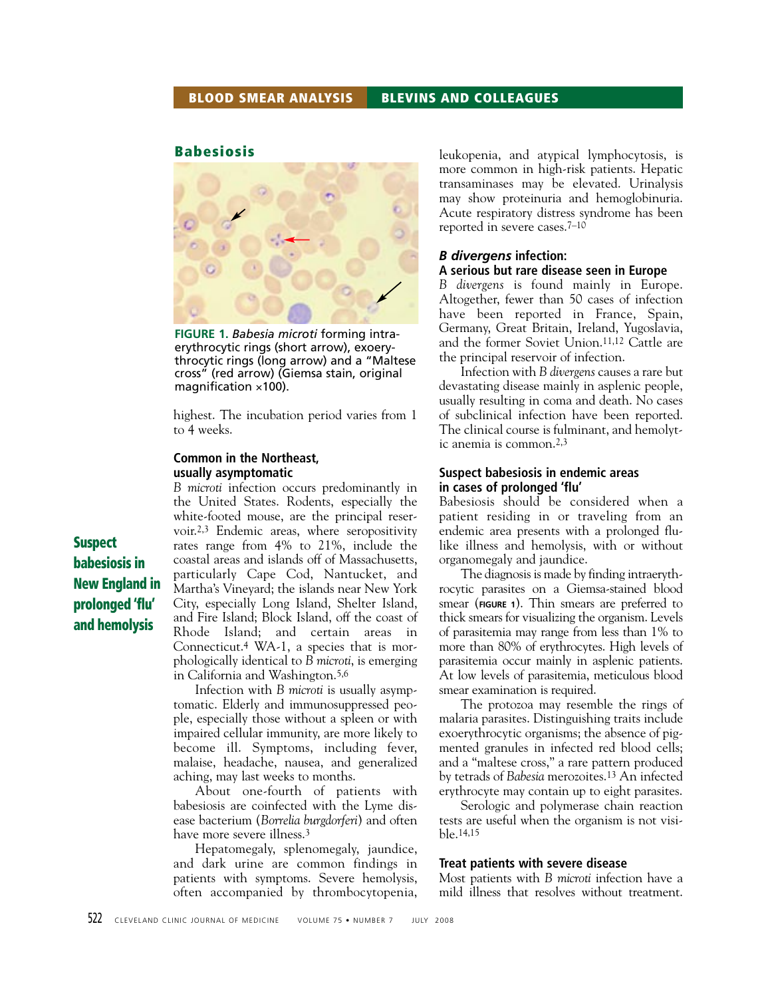#### **Babesiosis**



**FIGURE 1.** *Babesia microti* forming intraerythrocytic rings (short arrow), exoerythrocytic rings (long arrow) and a "Maltese cross" (red arrow) (Giemsa stain, original magnification  $\times$ 100).

highest. The incubation period varies from 1 to 4 weeks.

#### **Common in the Northeast, usually asymptomatic**

*B microti* infection occurs predominantly in the United States. Rodents, especially the white-footed mouse, are the principal reservoir.2,3 Endemic areas, where seropositivity rates range from 4% to 21%, include the coastal areas and islands off of Massachusetts, particularly Cape Cod, Nantucket, and Martha's Vineyard; the islands near New York City, especially Long Island, Shelter Island, and Fire Island; Block Island, off the coast of Rhode Island; and certain areas in Connecticut.4 WA-1, a species that is morphologically identical to *B microti*, is emerging in California and Washington.5,6

Infection with *B microti* is usually asymptomatic. Elderly and immunosuppressed people, especially those without a spleen or with impaired cellular immunity, are more likely to become ill. Symptoms, including fever, malaise, headache, nausea, and generalized aching, may last weeks to months.

About one-fourth of patients with babesiosis are coinfected with the Lyme disease bacterium (*Borrelia burgdorferi*) and often have more severe illness.<sup>3</sup>

Hepatomegaly, splenomegaly, jaundice, and dark urine are common findings in patients with symptoms. Severe hemolysis, often accompanied by thrombocytopenia, leukopenia, and atypical lymphocytosis, is more common in high-risk patients. Hepatic transaminases may be elevated. Urinalysis may show proteinuria and hemoglobinuria. Acute respiratory distress syndrome has been reported in severe cases.7–10

#### *B divergens* **infection: A serious but rare disease seen in Europe**

*B divergens* is found mainly in Europe. Altogether, fewer than 50 cases of infection have been reported in France, Spain, Germany, Great Britain, Ireland, Yugoslavia, and the former Soviet Union.11,12 Cattle are the principal reservoir of infection.

Infection with *B divergens* causes a rare but devastating disease mainly in asplenic people, usually resulting in coma and death. No cases of subclinical infection have been reported. The clinical course is fulminant, and hemolytic anemia is common.2,3

#### **Suspect babesiosis in endemic areas in cases of prolonged 'flu'**

Babesiosis should be considered when a patient residing in or traveling from an endemic area presents with a prolonged flulike illness and hemolysis, with or without organomegaly and jaundice.

The diagnosis is made by finding intraerythrocytic parasites on a Giemsa-stained blood smear (**FIGURE 1**). Thin smears are preferred to thick smears for visualizing the organism. Levels of parasitemia may range from less than 1% to more than 80% of erythrocytes. High levels of parasitemia occur mainly in asplenic patients. At low levels of parasitemia, meticulous blood smear examination is required.

The protozoa may resemble the rings of malaria parasites. Distinguishing traits include exoerythrocytic organisms; the absence of pigmented granules in infected red blood cells; and a "maltese cross," a rare pattern produced by tetrads of *Babesia* merozoites.13 An infected erythrocyte may contain up to eight parasites.

Serologic and polymerase chain reaction tests are useful when the organism is not visible.14,15

#### **Treat patients with severe disease**

Most patients with *B microti* infection have a mild illness that resolves without treatment.

**Suspect babesiosis in New England in prolonged 'flu' and hemolysis**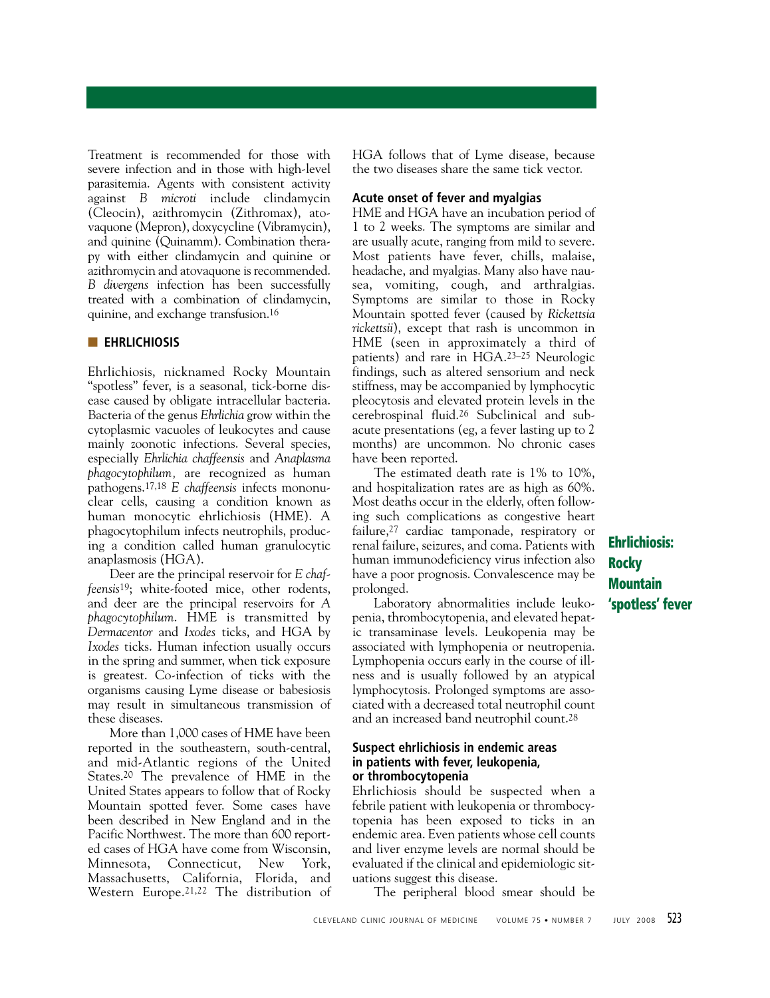Treatment is recommended for those with severe infection and in those with high-level parasitemia. Agents with consistent activity against *B microti* include clindamycin (Cleocin), azithromycin (Zithromax), atovaquone (Mepron), doxycycline (Vibramycin), and quinine (Quinamm). Combination therapy with either clindamycin and quinine or azithromycin and atovaquone is recommended. *B divergens* infection has been successfully treated with a combination of clindamycin, quinine, and exchange transfusion.16

#### ■ **EHRLICHIOSIS**

Ehrlichiosis, nicknamed Rocky Mountain "spotless" fever, is a seasonal, tick-borne disease caused by obligate intracellular bacteria. Bacteria of the genus *Ehrlichia* grow within the cytoplasmic vacuoles of leukocytes and cause mainly zoonotic infections. Several species, especially *Ehrlichia chaffeensis* and *Anaplasma phagocytophilum,* are recognized as human pathogens.17,18 *E chaffeensis* infects mononuclear cells, causing a condition known as human monocytic ehrlichiosis (HME). A phagocytophilum infects neutrophils, producing a condition called human granulocytic anaplasmosis (HGA).

Deer are the principal reservoir for *E chaffeensis*19; white-footed mice, other rodents, and deer are the principal reservoirs for *A phagocytophilum*. HME is transmitted by *Dermacentor* and *Ixodes* ticks, and HGA by *Ixodes* ticks. Human infection usually occurs in the spring and summer, when tick exposure is greatest. Co-infection of ticks with the organisms causing Lyme disease or babesiosis may result in simultaneous transmission of these diseases.

More than 1,000 cases of HME have been reported in the southeastern, south-central, and mid-Atlantic regions of the United States.20 The prevalence of HME in the United States appears to follow that of Rocky Mountain spotted fever. Some cases have been described in New England and in the Pacific Northwest. The more than 600 reported cases of HGA have come from Wisconsin, Minnesota, Connecticut, New York, Massachusetts, California, Florida, and Western Europe.21,22 The distribution of HGA follows that of Lyme disease, because the two diseases share the same tick vector.

#### **Acute onset of fever and myalgias**

HME and HGA have an incubation period of 1 to 2 weeks. The symptoms are similar and are usually acute, ranging from mild to severe. Most patients have fever, chills, malaise, headache, and myalgias. Many also have nausea, vomiting, cough, and arthralgias. Symptoms are similar to those in Rocky Mountain spotted fever (caused by *Rickettsia rickettsii*), except that rash is uncommon in HME (seen in approximately a third of patients) and rare in HGA.23–25 Neurologic findings, such as altered sensorium and neck stiffness, may be accompanied by lymphocytic pleocytosis and elevated protein levels in the cerebrospinal fluid.26 Subclinical and subacute presentations (eg, a fever lasting up to 2 months) are uncommon. No chronic cases have been reported.

The estimated death rate is 1% to 10%, and hospitalization rates are as high as 60%. Most deaths occur in the elderly, often following such complications as congestive heart failure,27 cardiac tamponade, respiratory or renal failure, seizures, and coma. Patients with human immunodeficiency virus infection also have a poor prognosis. Convalescence may be prolonged.

Laboratory abnormalities include leukopenia, thrombocytopenia, and elevated hepatic transaminase levels. Leukopenia may be associated with lymphopenia or neutropenia. Lymphopenia occurs early in the course of illness and is usually followed by an atypical lymphocytosis. Prolonged symptoms are associated with a decreased total neutrophil count and an increased band neutrophil count.28

#### **Suspect ehrlichiosis in endemic areas in patients with fever, leukopenia, or thrombocytopenia**

Ehrlichiosis should be suspected when a febrile patient with leukopenia or thrombocytopenia has been exposed to ticks in an endemic area. Even patients whose cell counts and liver enzyme levels are normal should be evaluated if the clinical and epidemiologic situations suggest this disease.

The peripheral blood smear should be

**Ehrlichiosis: Rocky Mountain 'spotless' fever**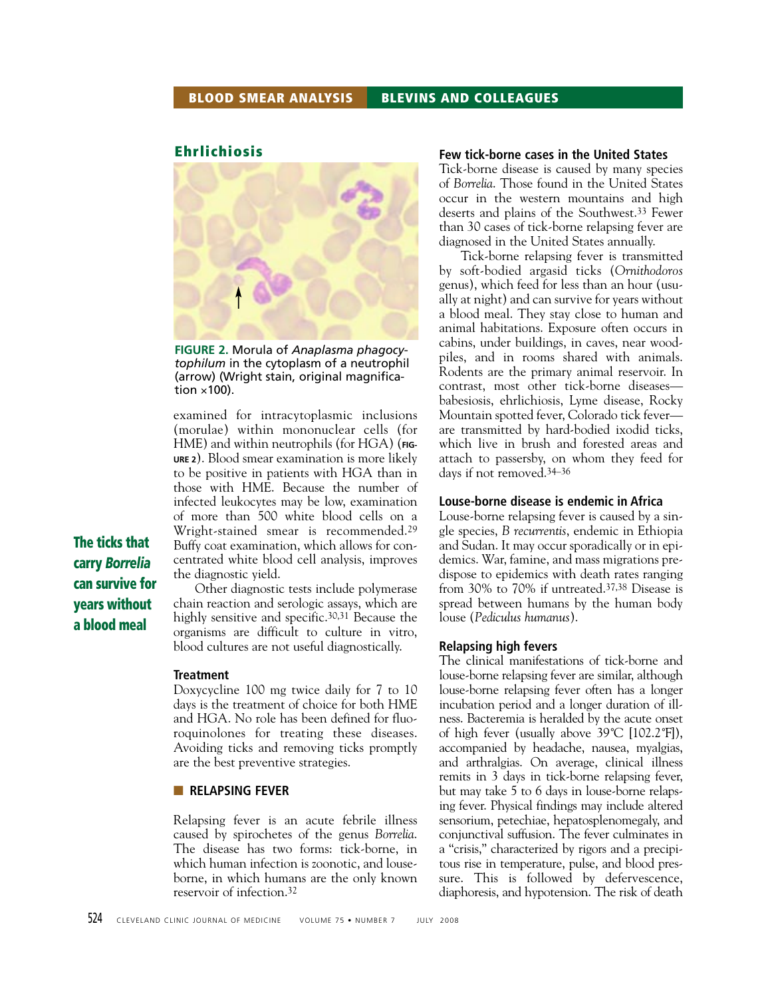#### **Ehrlichiosis**



**FIGURE 2.** Morula of *Anaplasma phagocytophilum* in the cytoplasm of a neutrophil (arrow) (Wright stain, original magnification  $\times$ 100).

examined for intracytoplasmic inclusions (morulae) within mononuclear cells (for HME) and within neutrophils (for HGA) (**FIG-URE 2**). Blood smear examination is more likely to be positive in patients with HGA than in those with HME. Because the number of infected leukocytes may be low, examination of more than 500 white blood cells on a Wright-stained smear is recommended.29 Buffy coat examination, which allows for concentrated white blood cell analysis, improves the diagnostic yield.

**The ticks that carry** *Borrelia* **can survive for years without a blood meal**

Other diagnostic tests include polymerase chain reaction and serologic assays, which are highly sensitive and specific.30,31 Because the organisms are difficult to culture in vitro, blood cultures are not useful diagnostically.

#### **Treatment**

Doxycycline 100 mg twice daily for 7 to 10 days is the treatment of choice for both HME and HGA. No role has been defined for fluoroquinolones for treating these diseases. Avoiding ticks and removing ticks promptly are the best preventive strategies.

#### ■ **RELAPSING FEVER**

Relapsing fever is an acute febrile illness caused by spirochetes of the genus *Borrelia*. The disease has two forms: tick-borne, in which human infection is zoonotic, and louseborne, in which humans are the only known reservoir of infection.32

#### **Few tick-borne cases in the United States**

Tick-borne disease is caused by many species of *Borrelia*. Those found in the United States occur in the western mountains and high deserts and plains of the Southwest.33 Fewer than 30 cases of tick-borne relapsing fever are diagnosed in the United States annually.

Tick-borne relapsing fever is transmitted by soft-bodied argasid ticks (*Ornithodoros* genus), which feed for less than an hour (usually at night) and can survive for years without a blood meal. They stay close to human and animal habitations. Exposure often occurs in cabins, under buildings, in caves, near woodpiles, and in rooms shared with animals. Rodents are the primary animal reservoir. In contrast, most other tick-borne diseases babesiosis, ehrlichiosis, Lyme disease, Rocky Mountain spotted fever, Colorado tick fever are transmitted by hard-bodied ixodid ticks, which live in brush and forested areas and attach to passersby, on whom they feed for days if not removed.34–36

#### **Louse-borne disease is endemic in Africa**

Louse-borne relapsing fever is caused by a single species, *B recurrentis*, endemic in Ethiopia and Sudan. It may occur sporadically or in epidemics. War, famine, and mass migrations predispose to epidemics with death rates ranging from 30% to 70% if untreated.37,38 Disease is spread between humans by the human body louse (*Pediculus humanus*).

#### **Relapsing high fevers**

The clinical manifestations of tick-borne and louse-borne relapsing fever are similar, although louse-borne relapsing fever often has a longer incubation period and a longer duration of illness. Bacteremia is heralded by the acute onset of high fever (usually above 39˚C [102.2˚F]), accompanied by headache, nausea, myalgias, and arthralgias. On average, clinical illness remits in 3 days in tick-borne relapsing fever, but may take 5 to 6 days in louse-borne relapsing fever. Physical findings may include altered sensorium, petechiae, hepatosplenomegaly, and conjunctival suffusion. The fever culminates in a "crisis," characterized by rigors and a precipitous rise in temperature, pulse, and blood pressure. This is followed by defervescence, diaphoresis, and hypotension. The risk of death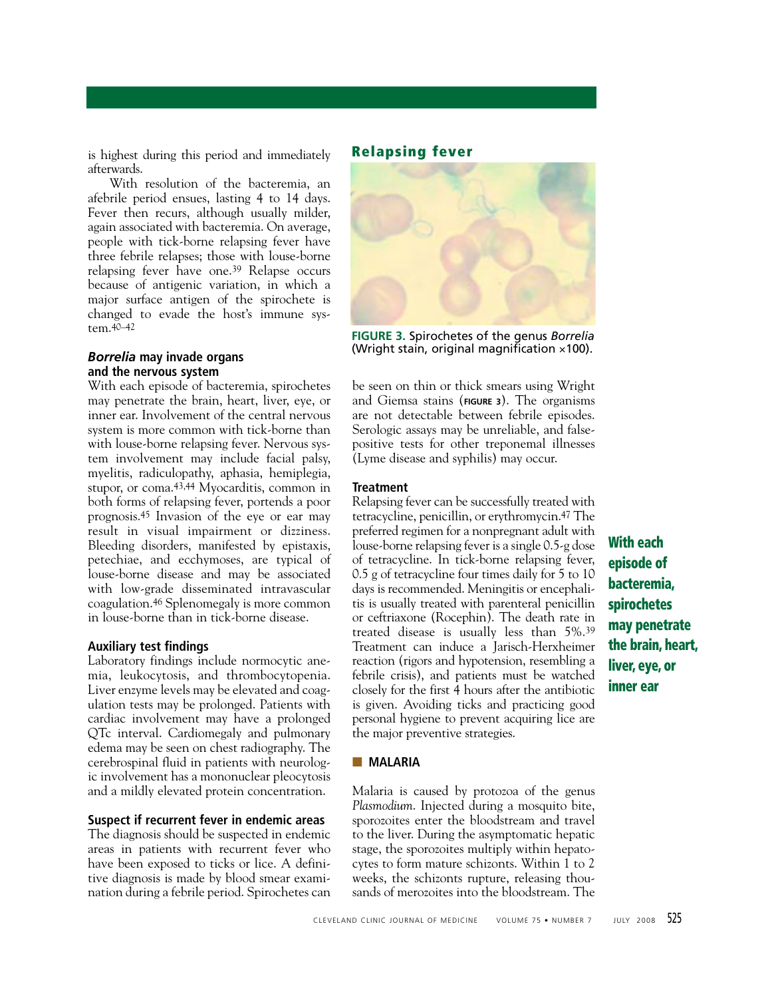is highest during this period and immediately afterwards.

With resolution of the bacteremia, an afebrile period ensues, lasting 4 to 14 days. Fever then recurs, although usually milder, again associated with bacteremia. On average, people with tick-borne relapsing fever have three febrile relapses; those with louse-borne relapsing fever have one.39 Relapse occurs because of antigenic variation, in which a major surface antigen of the spirochete is changed to evade the host's immune system.40–42

#### *Borrelia* **may invade organs and the nervous system**

With each episode of bacteremia, spirochetes may penetrate the brain, heart, liver, eye, or inner ear. Involvement of the central nervous system is more common with tick-borne than with louse-borne relapsing fever. Nervous system involvement may include facial palsy, myelitis, radiculopathy, aphasia, hemiplegia, stupor, or coma.43,44 Myocarditis, common in both forms of relapsing fever, portends a poor prognosis.45 Invasion of the eye or ear may result in visual impairment or dizziness. Bleeding disorders, manifested by epistaxis, petechiae, and ecchymoses, are typical of louse-borne disease and may be associated with low-grade disseminated intravascular coagulation.46 Splenomegaly is more common in louse-borne than in tick-borne disease.

#### **Auxiliary test findings**

Laboratory findings include normocytic anemia, leukocytosis, and thrombocytopenia. Liver enzyme levels may be elevated and coagulation tests may be prolonged. Patients with cardiac involvement may have a prolonged QTc interval. Cardiomegaly and pulmonary edema may be seen on chest radiography. The cerebrospinal fluid in patients with neurologic involvement has a mononuclear pleocytosis and a mildly elevated protein concentration.

#### **Suspect if recurrent fever in endemic areas**

The diagnosis should be suspected in endemic areas in patients with recurrent fever who have been exposed to ticks or lice. A definitive diagnosis is made by blood smear examination during a febrile period. Spirochetes can

# **Relapsing fever**



**FIGURE 3.** Spirochetes of the genus *Borrelia* (Wright stain, original magnification ×100).

be seen on thin or thick smears using Wright and Giemsa stains (**FIGURE 3**). The organisms are not detectable between febrile episodes. Serologic assays may be unreliable, and falsepositive tests for other treponemal illnesses (Lyme disease and syphilis) may occur.

#### **Treatment**

Relapsing fever can be successfully treated with tetracycline, penicillin, or erythromycin.47 The preferred regimen for a nonpregnant adult with louse-borne relapsing fever is a single 0.5-g dose of tetracycline. In tick-borne relapsing fever, 0.5 g of tetracycline four times daily for 5 to 10 days is recommended. Meningitis or encephalitis is usually treated with parenteral penicillin or ceftriaxone (Rocephin). The death rate in treated disease is usually less than 5%.39 Treatment can induce a Jarisch-Herxheimer reaction (rigors and hypotension, resembling a febrile crisis), and patients must be watched closely for the first 4 hours after the antibiotic is given. Avoiding ticks and practicing good personal hygiene to prevent acquiring lice are the major preventive strategies.

#### ■ **MALARIA**

Malaria is caused by protozoa of the genus *Plasmodium*. Injected during a mosquito bite, sporozoites enter the bloodstream and travel to the liver. During the asymptomatic hepatic stage, the sporozoites multiply within hepatocytes to form mature schizonts. Within 1 to 2 weeks, the schizonts rupture, releasing thousands of merozoites into the bloodstream. The

**With each episode of bacteremia, spirochetes may penetrate the brain, heart, liver, eye, or inner ear**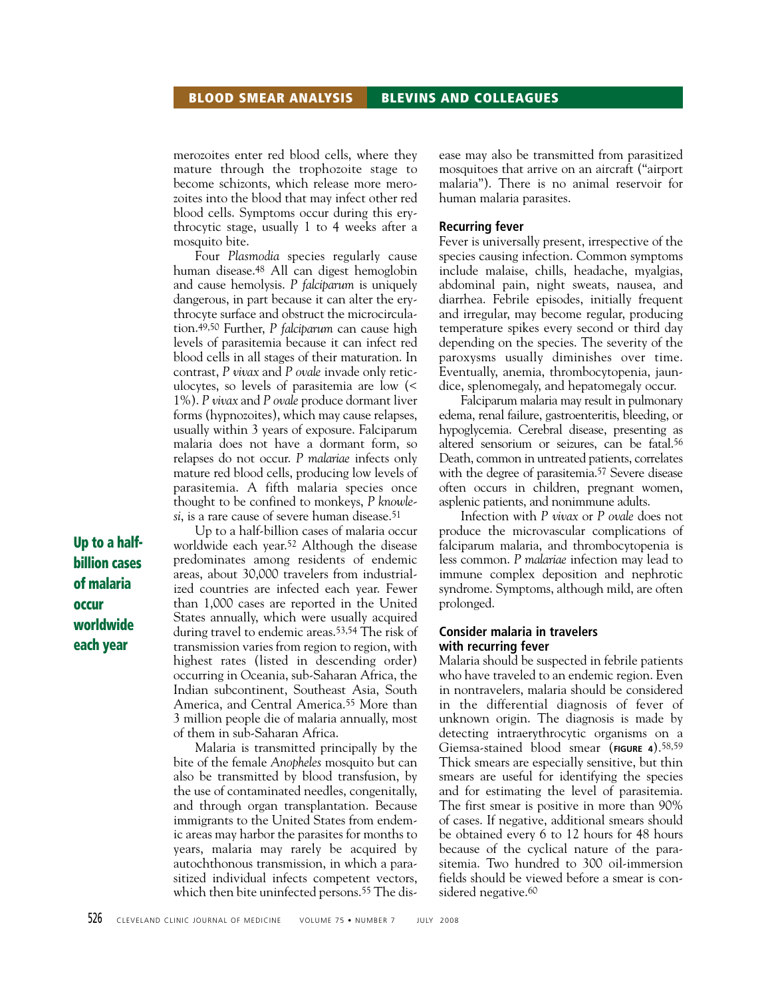merozoites enter red blood cells, where they mature through the trophozoite stage to become schizonts, which release more merozoites into the blood that may infect other red blood cells. Symptoms occur during this erythrocytic stage, usually 1 to 4 weeks after a mosquito bite.

Four *Plasmodia* species regularly cause human disease.48 All can digest hemoglobin and cause hemolysis. *P falciparum* is uniquely dangerous, in part because it can alter the erythrocyte surface and obstruct the microcirculation.49,50 Further, *P falciparum* can cause high levels of parasitemia because it can infect red blood cells in all stages of their maturation. In contrast, *P vivax* and *P ovale* invade only reticulocytes, so levels of parasitemia are low (< 1%). *P vivax* and *P ovale* produce dormant liver forms (hypnozoites), which may cause relapses, usually within 3 years of exposure. Falciparum malaria does not have a dormant form, so relapses do not occur. *P malariae* infects only mature red blood cells, producing low levels of parasitemia. A fifth malaria species once thought to be confined to monkeys, *P knowlesi*, is a rare cause of severe human disease.51

Up to a half-billion cases of malaria occur worldwide each year.<sup>52</sup> Although the disease predominates among residents of endemic areas, about 30,000 travelers from industrialized countries are infected each year. Fewer than 1,000 cases are reported in the United States annually, which were usually acquired during travel to endemic areas.53,54 The risk of transmission varies from region to region, with highest rates (listed in descending order) occurring in Oceania, sub-Saharan Africa, the Indian subcontinent, Southeast Asia, South America, and Central America.55 More than 3 million people die of malaria annually, most of them in sub-Saharan Africa.

Malaria is transmitted principally by the bite of the female *Anopheles* mosquito but can also be transmitted by blood transfusion, by the use of contaminated needles, congenitally, and through organ transplantation. Because immigrants to the United States from endemic areas may harbor the parasites for months to years, malaria may rarely be acquired by autochthonous transmission, in which a parasitized individual infects competent vectors, which then bite uninfected persons.55 The disease may also be transmitted from parasitized mosquitoes that arrive on an aircraft ("airport malaria"). There is no animal reservoir for human malaria parasites.

#### **Recurring fever**

Fever is universally present, irrespective of the species causing infection. Common symptoms include malaise, chills, headache, myalgias, abdominal pain, night sweats, nausea, and diarrhea. Febrile episodes, initially frequent and irregular, may become regular, producing temperature spikes every second or third day depending on the species. The severity of the paroxysms usually diminishes over time. Eventually, anemia, thrombocytopenia, jaundice, splenomegaly, and hepatomegaly occur.

Falciparum malaria may result in pulmonary edema, renal failure, gastroenteritis, bleeding, or hypoglycemia. Cerebral disease, presenting as altered sensorium or seizures, can be fatal.56 Death, common in untreated patients, correlates with the degree of parasitemia.<sup>57</sup> Severe disease often occurs in children, pregnant women, asplenic patients, and nonimmune adults.

Infection with *P vivax* or *P ovale* does not produce the microvascular complications of falciparum malaria, and thrombocytopenia is less common. *P malariae* infection may lead to immune complex deposition and nephrotic syndrome. Symptoms, although mild, are often prolonged.

#### **Consider malaria in travelers with recurring fever**

Malaria should be suspected in febrile patients who have traveled to an endemic region. Even in nontravelers, malaria should be considered in the differential diagnosis of fever of unknown origin. The diagnosis is made by detecting intraerythrocytic organisms on a Giemsa-stained blood smear (**FIGURE 4**).58,59 Thick smears are especially sensitive, but thin smears are useful for identifying the species and for estimating the level of parasitemia. The first smear is positive in more than 90% of cases. If negative, additional smears should be obtained every 6 to 12 hours for 48 hours because of the cyclical nature of the parasitemia. Two hundred to 300 oil-immersion fields should be viewed before a smear is considered negative.<sup>60</sup>

**Up to a halfbillion cases of malaria occur worldwide each year**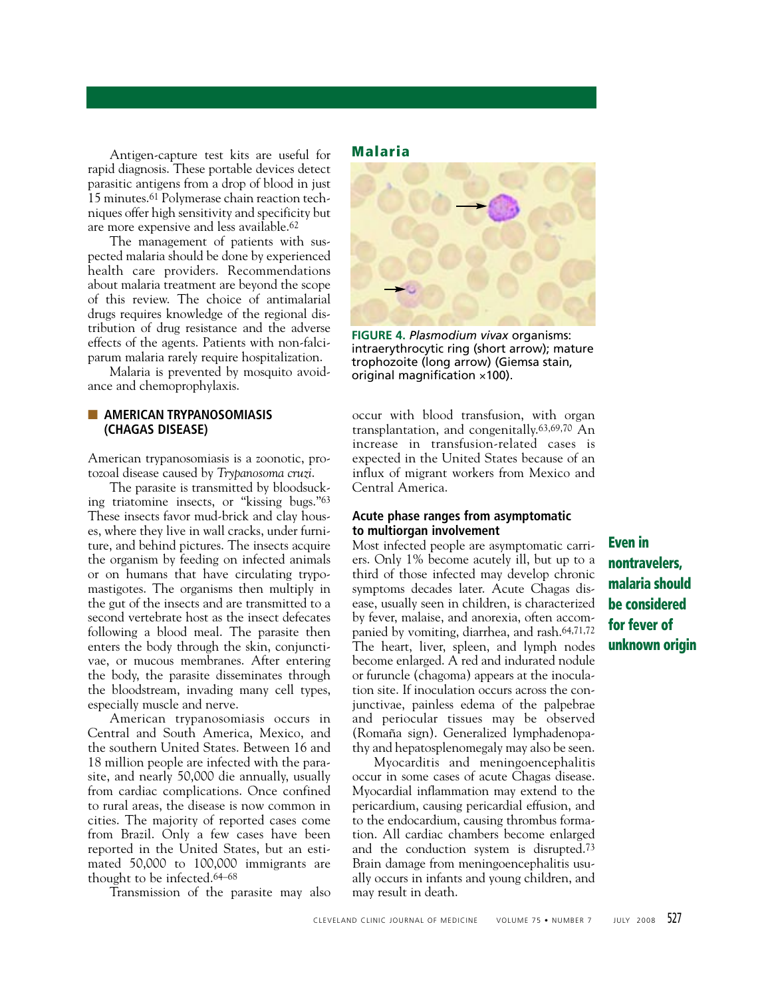Antigen-capture test kits are useful for rapid diagnosis. These portable devices detect parasitic antigens from a drop of blood in just 15 minutes.61 Polymerase chain reaction techniques offer high sensitivity and specificity but are more expensive and less available.62

The management of patients with suspected malaria should be done by experienced health care providers. Recommendations about malaria treatment are beyond the scope of this review. The choice of antimalarial drugs requires knowledge of the regional distribution of drug resistance and the adverse effects of the agents. Patients with non-falciparum malaria rarely require hospitalization.

Malaria is prevented by mosquito avoidance and chemoprophylaxis.

#### ■ **AMERICAN TRYPANOSOMIASIS (CHAGAS DISEASE)**

American trypanosomiasis is a zoonotic, protozoal disease caused by *Trypanosoma cruzi*.

The parasite is transmitted by bloodsucking triatomine insects, or "kissing bugs."63 These insects favor mud-brick and clay houses, where they live in wall cracks, under furniture, and behind pictures. The insects acquire the organism by feeding on infected animals or on humans that have circulating trypomastigotes. The organisms then multiply in the gut of the insects and are transmitted to a second vertebrate host as the insect defecates following a blood meal. The parasite then enters the body through the skin, conjunctivae, or mucous membranes. After entering the body, the parasite disseminates through the bloodstream, invading many cell types, especially muscle and nerve.

American trypanosomiasis occurs in Central and South America, Mexico, and the southern United States. Between 16 and 18 million people are infected with the parasite, and nearly 50,000 die annually, usually from cardiac complications. Once confined to rural areas, the disease is now common in cities. The majority of reported cases come from Brazil. Only a few cases have been reported in the United States, but an estimated 50,000 to 100,000 immigrants are thought to be infected.64–68

Transmission of the parasite may also

**Malaria**



**FIGURE 4.** *Plasmodium vivax* organisms: intraerythrocytic ring (short arrow); mature trophozoite (long arrow) (Giemsa stain, original magnification  $\times$ 100).

occur with blood transfusion, with organ transplantation, and congenitally.63,69,70 An increase in transfusion-related cases is expected in the United States because of an influx of migrant workers from Mexico and Central America.

#### **Acute phase ranges from asymptomatic to multiorgan involvement**

Most infected people are asymptomatic carriers. Only 1% become acutely ill, but up to a third of those infected may develop chronic symptoms decades later. Acute Chagas disease, usually seen in children, is characterized by fever, malaise, and anorexia, often accompanied by vomiting, diarrhea, and rash.64,71,72 The heart, liver, spleen, and lymph nodes become enlarged. A red and indurated nodule or furuncle (chagoma) appears at the inoculation site. If inoculation occurs across the conjunctivae, painless edema of the palpebrae and periocular tissues may be observed (Romaña sign). Generalized lymphadenopathy and hepatosplenomegaly may also be seen.

Myocarditis and meningoencephalitis occur in some cases of acute Chagas disease. Myocardial inflammation may extend to the pericardium, causing pericardial effusion, and to the endocardium, causing thrombus formation. All cardiac chambers become enlarged and the conduction system is disrupted.73 Brain damage from meningoencephalitis usually occurs in infants and young children, and may result in death.

**Even in nontravelers, malaria should be considered for fever of unknown origin**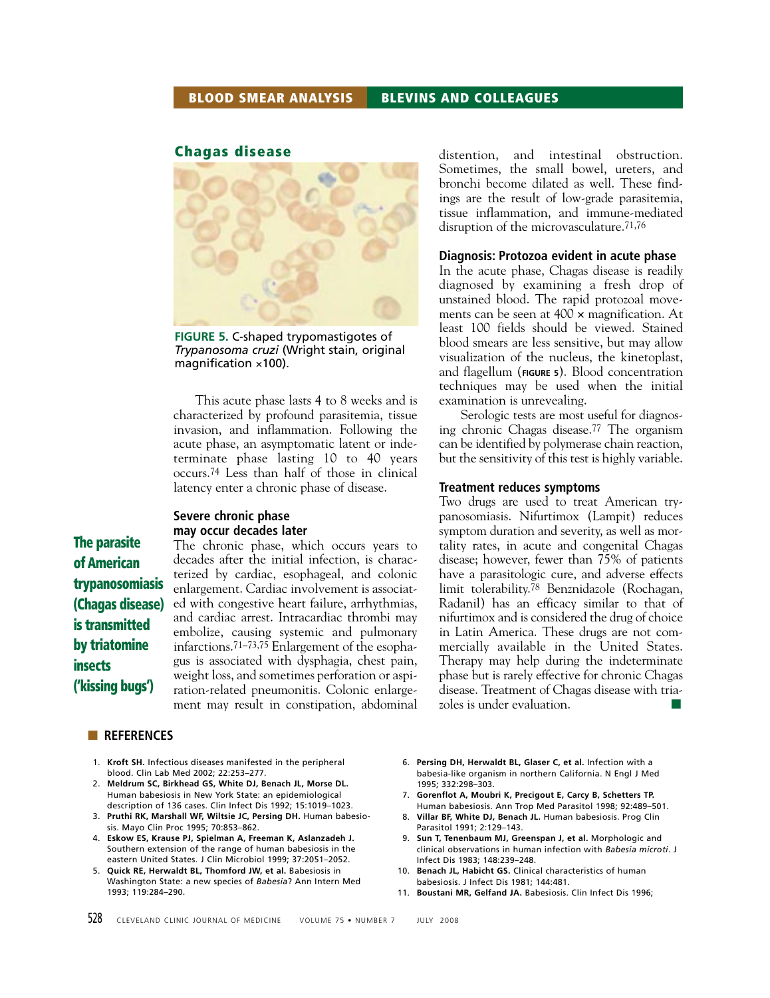#### **BLOOD SMEAR ANALYSIS BLEVINS AND COLLEAGUES**

#### **Chagas disease**



**FIGURE 5.** C-shaped trypomastigotes of *Trypanosoma cruzi* (Wright stain, original magnification  $\times$ 100).

This acute phase lasts 4 to 8 weeks and is characterized by profound parasitemia, tissue invasion, and inflammation. Following the acute phase, an asymptomatic latent or indeterminate phase lasting 10 to 40 years occurs.74 Less than half of those in clinical latency enter a chronic phase of disease.

#### **Severe chronic phase may occur decades later**

The chronic phase, which occurs years to decades after the initial infection, is characterized by cardiac, esophageal, and colonic enlargement. Cardiac involvement is associated with congestive heart failure, arrhythmias, and cardiac arrest. Intracardiac thrombi may embolize, causing systemic and pulmonary infarctions.71–73,75 Enlargement of the esophagus is associated with dysphagia, chest pain, weight loss, and sometimes perforation or aspiration-related pneumonitis. Colonic enlargement may result in constipation, abdominal

#### ■ **REFERENCES**

**The parasite of American**

**insects**

**('kissing bugs')**

**trypanosomiasis (Chagas disease) is transmitted by triatomine**

- 1. **Kroft SH.** Infectious diseases manifested in the peripheral blood. Clin Lab Med 2002; 22:253–277.
- 2. **Meldrum SC, Birkhead GS, White DJ, Benach JL, Morse DL.** Human babesiosis in New York State: an epidemiological description of 136 cases. Clin Infect Dis 1992; 15:1019–1023.
- 3. **Pruthi RK, Marshall WF, Wiltsie JC, Persing DH.** Human babesiosis. Mayo Clin Proc 1995; 70:853–862.
- 4. **Eskow ES, Krause PJ, Spielman A, Freeman K, Aslanzadeh J.** Southern extension of the range of human babesiosis in the eastern United States. J Clin Microbiol 1999; 37:2051–2052.
- 5. **Quick RE, Herwaldt BL, Thomford JW, et al.** Babesiosis in Washington State: a new species of *Babesia*? Ann Intern Med 1993; 119:284–290.

distention, and intestinal obstruction. Sometimes, the small bowel, ureters, and bronchi become dilated as well. These findings are the result of low-grade parasitemia, tissue inflammation, and immune-mediated disruption of the microvasculature.<sup>71,76</sup>

#### **Diagnosis: Protozoa evident in acute phase**

In the acute phase, Chagas disease is readily diagnosed by examining a fresh drop of unstained blood. The rapid protozoal movements can be seen at 400 × magnification. At least 100 fields should be viewed. Stained blood smears are less sensitive, but may allow visualization of the nucleus, the kinetoplast, and flagellum (**FIGURE 5**). Blood concentration techniques may be used when the initial examination is unrevealing.

Serologic tests are most useful for diagnosing chronic Chagas disease.77 The organism can be identified by polymerase chain reaction, but the sensitivity of this test is highly variable.

#### **Treatment reduces symptoms**

Two drugs are used to treat American trypanosomiasis. Nifurtimox (Lampit) reduces symptom duration and severity, as well as mortality rates, in acute and congenital Chagas disease; however, fewer than 75% of patients have a parasitologic cure, and adverse effects limit tolerability.78 Benznidazole (Rochagan, Radanil) has an efficacy similar to that of nifurtimox and is considered the drug of choice in Latin America. These drugs are not commercially available in the United States. Therapy may help during the indeterminate phase but is rarely effective for chronic Chagas disease. Treatment of Chagas disease with triazoles is under evaluation.

- 6. **Persing DH, Herwaldt BL, Glaser C, et al.** Infection with a babesia-like organism in northern California. N Engl J Med 1995; 332:298–303.
- 7. **Gorenflot A, Moubri K, Precigout E, Carcy B, Schetters TP.** Human babesiosis. Ann Trop Med Parasitol 1998; 92:489–501.
- 8. **Villar BF, White DJ, Benach JL.** Human babesiosis. Prog Clin Parasitol 1991; 2:129–143.
- Sun T, Tenenbaum MJ, Greenspan J, et al. Morphologic and clinical observations in human infection with *Babesia microti*. J Infect Dis 1983; 148:239–248.
- Benach JL, Habicht GS. Clinical characteristics of human babesiosis. J Infect Dis 1981; 144:481.
- 11. **Boustani MR, Gelfand JA.** Babesiosis. Clin Infect Dis 1996;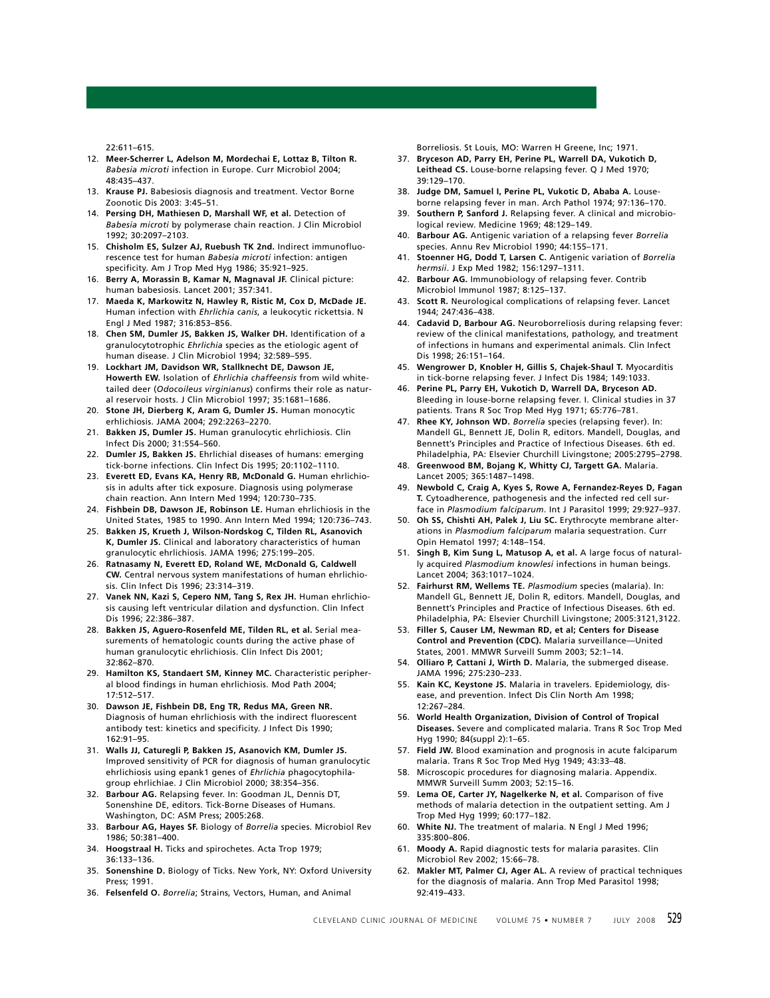22:611–615.

- 12. **Meer-Scherrer L, Adelson M, Mordechai E, Lottaz B, Tilton R.** *Babesia microti* infection in Europe. Curr Microbiol 2004; 48:435–437.
- 13. **Krause PJ.** Babesiosis diagnosis and treatment. Vector Borne Zoonotic Dis 2003: 3:45–51.
- 14. **Persing DH, Mathiesen D, Marshall WF, et al.** Detection of *Babesia microti* by polymerase chain reaction. J Clin Microbiol 1992; 30:2097–2103.
- 15. **Chisholm ES, Sulzer AJ, Ruebush TK 2nd.** Indirect immunofluorescence test for human *Babesia microti* infection: antigen specificity. Am J Trop Med Hyg 1986; 35:921–925.
- 16. **Berry A, Morassin B, Kamar N, Magnaval JF.** Clinical picture: human babesiosis. Lancet 2001; 357:341.
- 17. **Maeda K, Markowitz N, Hawley R, Ristic M, Cox D, McDade JE.** Human infection with *Ehrlichia canis*, a leukocytic rickettsia. N Engl J Med 1987; 316:853–856.
- 18. **Chen SM, Dumler JS, Bakken JS, Walker DH.** Identification of a granulocytotrophic *Ehrlichia* species as the etiologic agent of human disease. J Clin Microbiol 1994; 32:589–595.
- 19. **Lockhart JM, Davidson WR, Stallknecht DE, Dawson JE, Howerth EW.** Isolation of *Ehrlichia chaffeensis* from wild whitetailed deer (*Odocoileus virginianus*) confirms their role as natural reservoir hosts. J Clin Microbiol 1997; 35:1681–1686.
- 20. **Stone JH, Dierberg K, Aram G, Dumler JS.** Human monocytic erhlichiosis. JAMA 2004; 292:2263–2270.
- 21. **Bakken JS, Dumler JS.** Human granulocytic ehrlichiosis. Clin Infect Dis 2000; 31:554–560.
- 22. **Dumler JS, Bakken JS.** Ehrlichial diseases of humans: emerging tick-borne infections. Clin Infect Dis 1995; 20:1102–1110.
- 23. **Everett ED, Evans KA, Henry RB, McDonald G.** Human ehrlichiosis in adults after tick exposure. Diagnosis using polymerase chain reaction. Ann Intern Med 1994; 120:730–735.
- 24. **Fishbein DB, Dawson JE, Robinson LE.** Human ehrlichiosis in the United States, 1985 to 1990. Ann Intern Med 1994; 120:736–743.
- 25. **Bakken JS, Krueth J, Wilson-Nordskog C, Tilden RL, Asanovich K, Dumler JS.** Clinical and laboratory characteristics of human granulocytic ehrlichiosis. JAMA 1996; 275:199–205.
- 26. **Ratnasamy N, Everett ED, Roland WE, McDonald G, Caldwell CW.** Central nervous system manifestations of human ehrlichiosis. Clin Infect Dis 1996; 23:314–319.
- 27. **Vanek NN, Kazi S, Cepero NM, Tang S, Rex JH.** Human ehrlichiosis causing left ventricular dilation and dysfunction. Clin Infect Dis 1996; 22:386–387.
- 28. **Bakken JS, Aguero-Rosenfeld ME, Tilden RL, et al.** Serial measurements of hematologic counts during the active phase of human granulocytic ehrlichiosis. Clin Infect Dis 2001; 32:862–870.
- 29. **Hamilton KS, Standaert SM, Kinney MC.** Characteristic peripheral blood findings in human ehrlichiosis. Mod Path 2004; 17:512–517.
- 30. **Dawson JE, Fishbein DB, Eng TR, Redus MA, Green NR.** Diagnosis of human ehrlichiosis with the indirect fluorescent antibody test: kinetics and specificity. J Infect Dis 1990; 162:91–95.
- 31. **Walls JJ, Caturegli P, Bakken JS, Asanovich KM, Dumler JS.** Improved sensitivity of PCR for diagnosis of human granulocytic ehrlichiosis using epank1 genes of *Ehrlichia* phagocytophilagroup ehrlichiae. J Clin Microbiol 2000; 38:354–356.
- 32. **Barbour AG.** Relapsing fever. In: Goodman JL, Dennis DT, Sonenshine DE, editors. Tick-Borne Diseases of Humans. Washington, DC: ASM Press; 2005:268.
- 33. **Barbour AG, Hayes SF.** Biology of *Borrelia* species. Microbiol Rev 1986; 50:381–400.
- 34. **Hoogstraal H.** Ticks and spirochetes. Acta Trop 1979; 36:133–136.
- 35. **Sonenshine D.** Biology of Ticks. New York, NY: Oxford University Press; 1991.
- 36. **Felsenfeld O.** *Borrelia*; Strains, Vectors, Human, and Animal

Borreliosis. St Louis, MO: Warren H Greene, Inc; 1971.

- 37. **Bryceson AD, Parry EH, Perine PL, Warrell DA, Vukotich D, Leithead CS.** Louse-borne relapsing fever. Q J Med 1970; 39:129–170.
- 38. **Judge DM, Samuel I, Perine PL, Vukotic D, Ababa A.** Louseborne relapsing fever in man. Arch Pathol 1974; 97:136–170.
- 39. **Southern P, Sanford J.** Relapsing fever. A clinical and microbiological review. Medicine 1969; 48:129–149.
- 40. **Barbour AG.** Antigenic variation of a relapsing fever *Borrelia* species. Annu Rev Microbiol 1990; 44:155–171.
- 41. **Stoenner HG, Dodd T, Larsen C.** Antigenic variation of *Borrelia hermsii*. J Exp Med 1982; 156:1297–1311.
- 42. **Barbour AG.** Immunobiology of relapsing fever. Contrib Microbiol Immunol 1987; 8:125–137.
- 43. **Scott R.** Neurological complications of relapsing fever. Lancet 1944; 247:436–438.
- 44. **Cadavid D, Barbour AG.** Neuroborreliosis during relapsing fever: review of the clinical manifestations, pathology, and treatment of infections in humans and experimental animals. Clin Infect Dis 1998; 26:151–164.
- 45. **Wengrower D, Knobler H, Gillis S, Chajek-Shaul T.** Myocarditis in tick-borne relapsing fever. J Infect Dis 1984; 149:1033.
- 46. **Perine PL, Parry EH, Vukotich D, Warrell DA, Bryceson AD.** Bleeding in louse-borne relapsing fever. I. Clinical studies in 37 patients. Trans R Soc Trop Med Hyg 1971; 65:776–781.
- 47. **Rhee KY, Johnson WD.** *Borrelia* species (relapsing fever). In: Mandell GL, Bennett JE, Dolin R, editors. Mandell, Douglas, and Bennett's Principles and Practice of Infectious Diseases. 6th ed. Philadelphia, PA: Elsevier Churchill Livingstone; 2005:2795–2798.
- 48. **Greenwood BM, Bojang K, Whitty CJ, Targett GA.** Malaria. Lancet 2005; 365:1487–1498.
- 49. **Newbold C, Craig A, Kyes S, Rowe A, Fernandez-Reyes D, Fagan T.** Cytoadherence, pathogenesis and the infected red cell surface in *Plasmodium falciparum*. Int J Parasitol 1999; 29:927–937.
- 50. **Oh SS, Chishti AH, Palek J, Liu SC.** Erythrocyte membrane alterations in *Plasmodium falciparum* malaria sequestration. Curr Opin Hematol 1997; 4:148–154.
- 51. **Singh B, Kim Sung L, Matusop A, et al.** A large focus of naturally acquired *Plasmodium knowlesi* infections in human beings. Lancet 2004; 363:1017–1024.
- 52. **Fairhurst RM, Wellems TE.** *Plasmodium* species (malaria). In: Mandell GL, Bennett JE, Dolin R, editors. Mandell, Douglas, and Bennett's Principles and Practice of Infectious Diseases. 6th ed. Philadelphia, PA: Elsevier Churchill Livingstone; 2005:3121,3122.
- 53. **Filler S, Causer LM, Newman RD, et al; Centers for Disease Control and Prevention (CDC).** Malaria surveillance—United States, 2001. MMWR Surveill Summ 2003; 52:1–14.
- 54. **Olliaro P, Cattani J, Wirth D.** Malaria, the submerged disease. JAMA 1996; 275:230–233.
- 55. **Kain KC, Keystone JS.** Malaria in travelers. Epidemiology, disease, and prevention. Infect Dis Clin North Am 1998; 12:267–284.
- 56. **World Health Organization, Division of Control of Tropical Diseases.** Severe and complicated malaria. Trans R Soc Trop Med Hyg 1990; 84(suppl 2):1–65.
- 57. **Field JW.** Blood examination and prognosis in acute falciparum malaria. Trans R Soc Trop Med Hyg 1949; 43:33–48.
- 58. Microscopic procedures for diagnosing malaria. Appendix. MMWR Surveill Summ 2003; 52:15–16.
- 59. **Lema OE, Carter JY, Nagelkerke N, et al.** Comparison of five methods of malaria detection in the outpatient setting. Am J Trop Med Hyg 1999; 60:177–182.
- 60. **White NJ.** The treatment of malaria. N Engl J Med 1996; 335:800–806.
- 61. **Moody A.** Rapid diagnostic tests for malaria parasites. Clin Microbiol Rev 2002; 15:66–78.
- Makler MT, Palmer CJ, Ager AL. A review of practical techniques for the diagnosis of malaria. Ann Trop Med Parasitol 1998; 92:419–433.